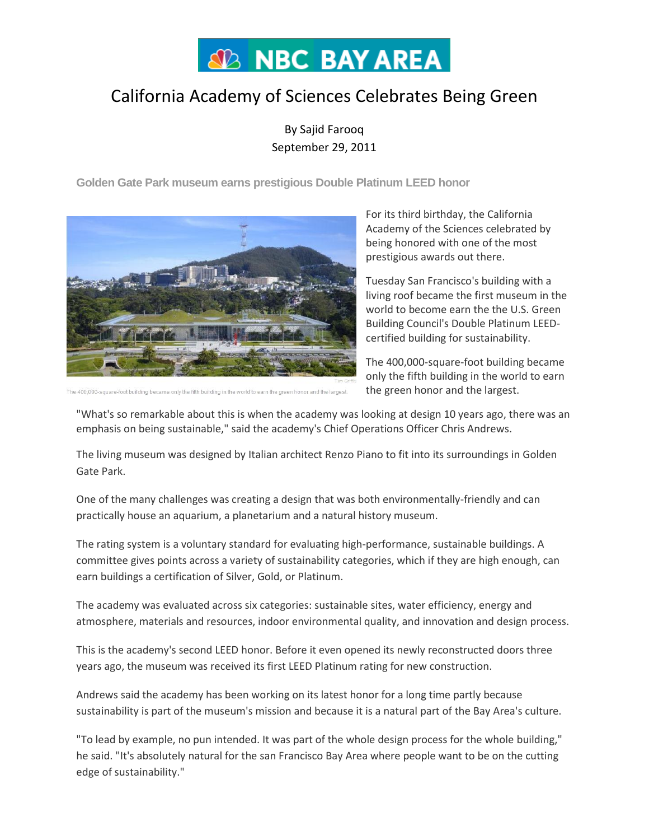# **SD NBC BAY AREA**

# California Academy of Sciences Celebrates Being Green

By Sajid Farooq September 29, 2011

**Golden Gate Park museum earns prestigious Double Platinum LEED honor**



For its third birthday, the California Academy of the Sciences celebrated by being honored with one of the most prestigious awards out there.

Tuesday San Francisco's building with a living roof became the first museum in the world to become earn the the U.S. Green Building Council's Double Platinum LEEDcertified building for sustainability.

The 400,000-square-foot building became only the fifth building in the world to earn the green honor and the largest.

The 400,000-square-foot building became only the fifth building in the w orld to earn the green honor and the largest.

"What's so remarkable about this is when the academy was looking at design 10 years ago, there was an emphasis on being sustainable," said the academy's Chief Operations Officer Chris Andrews.

The living museum was designed by Italian architect Renzo Piano to fit into its surroundings in Golden Gate Park.

One of the many challenges was creating a design that was both environmentally-friendly and can practically house an aquarium, a planetarium and a natural history museum.

The rating system is a voluntary standard for evaluating high-performance, sustainable buildings. A committee gives points across a variety of sustainability categories, which if they are high enough, can earn buildings a certification of Silver, Gold, or Platinum.

The academy was evaluated across six categories: sustainable sites, water efficiency, energy and atmosphere, materials and resources, indoor environmental quality, and innovation and design process.

This is the academy's second LEED honor. Before it even opened its newly reconstructed doors three years ago, the museum was received its first LEED Platinum rating for new construction.

Andrews said the academy has been working on its latest honor for a long time partly because sustainability is part of the museum's mission and because it is a natural part of the Bay Area's culture.

"To lead by example, no pun intended. It was part of the whole design process for the whole building," he said. "It's absolutely natural for the san Francisco Bay Area where people want to be on the cutting edge of sustainability."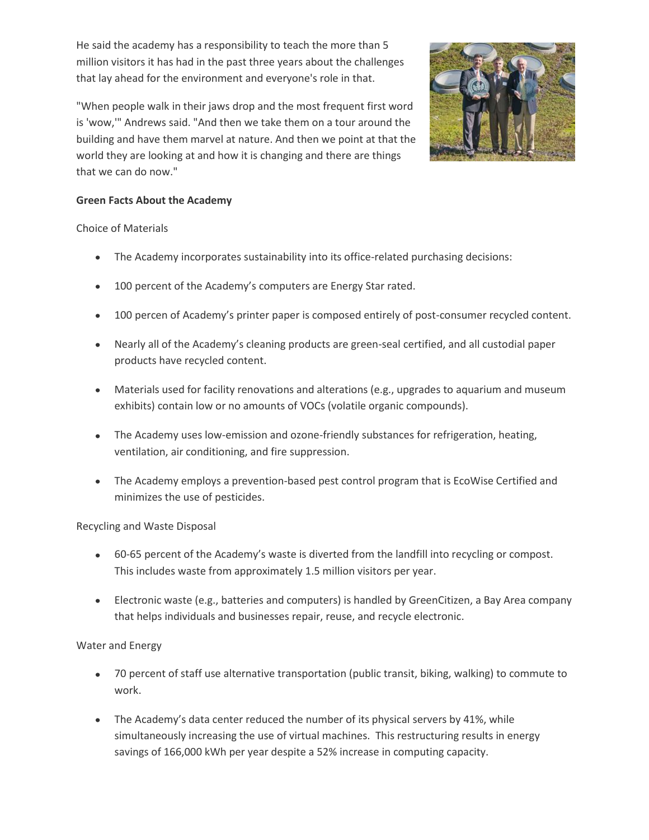He said the academy has a responsibility to teach the more than 5 million visitors it has had in the past three years about the challenges that lay ahead for the environment and everyone's role in that.



"When people walk in their jaws drop and the most frequent first word is 'wow,'" Andrews said. "And then we take them on a tour around the building and have them marvel at nature. And then we point at that the world they are looking at and how it is changing and there are things that we can do now."

## **Green Facts About the Academy**

Choice of Materials

- The Academy incorporates sustainability into its office-related purchasing decisions:
- 100 percent of the Academy's computers are Energy Star rated.  $\bullet$
- 100 percen of Academy's printer paper is composed entirely of post-consumer recycled content.
- Nearly all of the Academy's cleaning products are green-seal certified, and all custodial paper  $\bullet$ products have recycled content.
- Materials used for facility renovations and alterations (e.g., upgrades to aquarium and museum exhibits) contain low or no amounts of VOCs (volatile organic compounds).
- The Academy uses low-emission and ozone-friendly substances for refrigeration, heating, ventilation, air conditioning, and fire suppression.
- The Academy employs a prevention-based pest control program that is EcoWise Certified and minimizes the use of pesticides.

Recycling and Waste Disposal

- 60-65 percent of the Academy's waste is diverted from the landfill into recycling or compost. This includes waste from approximately 1.5 million visitors per year.
- Electronic waste (e.g., batteries and computers) is handled by GreenCitizen, a Bay Area company that helps individuals and businesses repair, reuse, and recycle electronic.

Water and Energy

- 70 percent of staff use alternative transportation (public transit, biking, walking) to commute to work.
- The Academy's data center reduced the number of its physical servers by 41%, while simultaneously increasing the use of virtual machines. This restructuring results in energy savings of 166,000 kWh per year despite a 52% increase in computing capacity.